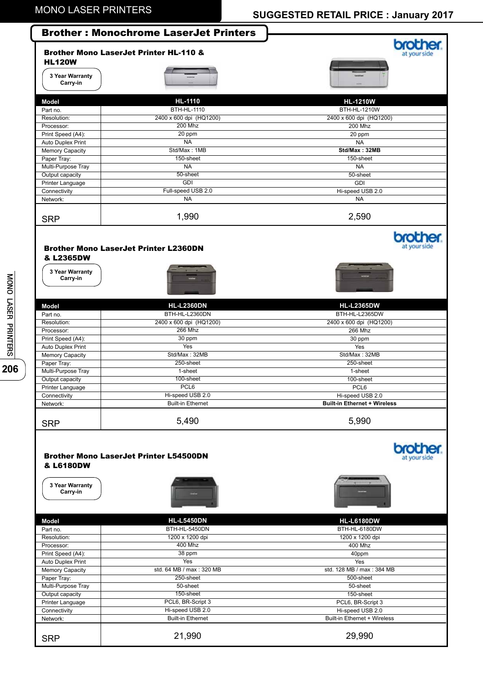|                                          | <b>Brother: Monochrome LaserJet Printers</b>      |                                     |
|------------------------------------------|---------------------------------------------------|-------------------------------------|
| <b>HL120W</b>                            | <b>Brother Mono LaserJet Printer HL-110 &amp;</b> | at your sid                         |
| 3 Year Warranty<br>Carry-in              |                                                   |                                     |
| <b>Model</b>                             | <b>HL-1110</b>                                    | <b>HL-1210W</b>                     |
| Part no.                                 | <b>BTH-HL-1110</b>                                | <b>BTH-HL-1210W</b>                 |
| Resolution:                              | 2400 x 600 dpi (HQ1200)                           | 2400 x 600 dpi (HQ1200)             |
| Processor:                               | <b>200 Mhz</b>                                    | <b>200 Mhz</b>                      |
| Print Speed (A4):                        | 20 ppm                                            | 20 ppm                              |
| Auto Duplex Print<br>Memory Capacity     | <b>NA</b><br>Std/Max: 1MB                         | <b>NA</b><br>Std/Max: 32MB          |
| Paper Tray:                              | 150-sheet                                         | 150-sheet                           |
| Multi-Purpose Tray                       | NA                                                | <b>NA</b>                           |
| Output capacity                          | 50-sheet                                          | 50-sheet                            |
| Printer Language                         | <b>GDI</b>                                        | <b>GDI</b>                          |
| Connectivity                             | Full-speed USB 2.0                                | Hi-speed USB 2.0                    |
| Network:                                 | <b>NA</b>                                         | <b>NA</b>                           |
| <b>SRP</b>                               | 1,990                                             | 2,590                               |
| & L2365DW<br>3 Year Warranty<br>Carry-in | <b>Brother Mono LaserJet Printer L2360DN</b>      | at your side                        |
| <b>Model</b>                             | <b>HL-L2360DN</b>                                 | <b>HL-L2365DW</b>                   |
| Part no.                                 | BTH-HL-L2360DN                                    | BTH-HL-L2365DW                      |
| Resolution:                              | 2400 x 600 dpi (HQ1200)                           | 2400 x 600 dpi (HQ1200)             |
| Processor:                               | $266$ Mhz                                         | <b>266 Mhz</b>                      |
| Print Speed (A4):                        | 30 ppm                                            | 30 ppm                              |
| Auto Duplex Print                        | Yes<br>Std/Max: 32MB                              | Yes                                 |
| Memory Capacity<br>Paper Tray:           | 250-sheet                                         | Std/Max: 32MB<br>250-sheet          |
| Multi-Purpose Tray                       | 1-sheet                                           | 1-sheet                             |
| Output capacity                          | 100-sheet                                         | 100-sheet                           |
| Printer Language                         | PCL6                                              | PCL6                                |
| Connectivity                             | Hi-speed USB 2.0                                  | Hi-speed USB 2.0                    |
| Network:                                 | <b>Built-in Ethernet</b>                          | <b>Built-in Ethernet + Wireless</b> |
| <b>SRP</b>                               | 5,490                                             | 5,990                               |
| & L6180DW<br>3 Year Warranty<br>Carry-in | <b>Brother Mono LaserJet Printer L54500DN</b>     |                                     |
| <b>Model</b>                             | <b>HL-L5450DN</b>                                 | <b>HL-L6180DW</b>                   |
| Part no.<br>Resolution:                  | BTH-HL-5450DN<br>1200 x 1200 dpi                  | BTH-HL-6180DW<br>1200 x 1200 dpi    |
| Processor:                               | 400 Mhz                                           | 400 Mhz                             |
| Print Speed (A4):                        | 38 ppm                                            | 40ppm                               |
| Auto Duplex Print                        | Yes                                               | Yes                                 |
| Memory Capacity                          | std. 64 MB / max: 320 MB                          | std. 128 MB / max: 384 MB           |
| Paper Tray:<br>Multi-Purpose Tray        | 250-sheet<br>50-sheet                             | 500-sheet<br>50-sheet               |
| Output capacity                          | 150-sheet                                         | 150-sheet                           |
| Printer Language                         | PCL6, BR-Script 3                                 | PCL6, BR-Script 3                   |
| Connectivity                             | Hi-speed USB 2.0                                  | Hi-speed USB 2.0                    |
| Network:                                 | <b>Built-in Ethernet</b>                          | Built-in Ethernet + Wireless        |
|                                          |                                                   |                                     |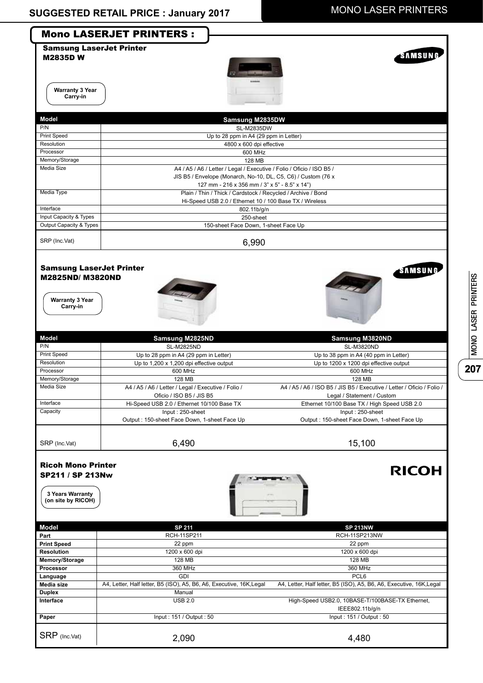

MONO LASER PRINTERS MONO LASER PRINTERS

**207**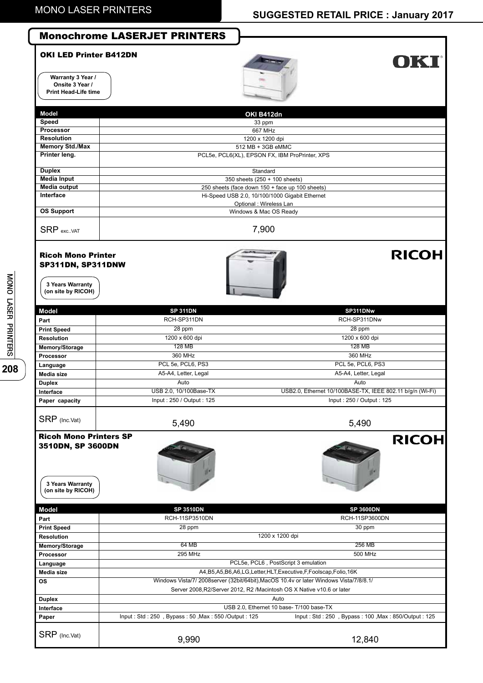| <b>Monochrome LASERJET PRINTERS</b>                                    |                                                                                                                                                                                                                                                                                                                                  |
|------------------------------------------------------------------------|----------------------------------------------------------------------------------------------------------------------------------------------------------------------------------------------------------------------------------------------------------------------------------------------------------------------------------|
| <b>OKI LED Printer B412DN</b>                                          | OKT                                                                                                                                                                                                                                                                                                                              |
|                                                                        | OKI B412dn                                                                                                                                                                                                                                                                                                                       |
|                                                                        | 33 ppm                                                                                                                                                                                                                                                                                                                           |
|                                                                        | 1200 x 1200 dpi                                                                                                                                                                                                                                                                                                                  |
|                                                                        | 512 MB + 3GB eMMC                                                                                                                                                                                                                                                                                                                |
|                                                                        | PCL5e, PCL6(XL), EPSON FX, IBM ProPrinter, XPS                                                                                                                                                                                                                                                                                   |
|                                                                        |                                                                                                                                                                                                                                                                                                                                  |
|                                                                        | Standard                                                                                                                                                                                                                                                                                                                         |
|                                                                        |                                                                                                                                                                                                                                                                                                                                  |
|                                                                        |                                                                                                                                                                                                                                                                                                                                  |
|                                                                        | Optional : Wireless Lan                                                                                                                                                                                                                                                                                                          |
|                                                                        | Windows & Mac OS Ready                                                                                                                                                                                                                                                                                                           |
|                                                                        | 7,900                                                                                                                                                                                                                                                                                                                            |
| <b>Ricoh Mono Printer</b><br>SP311DN, SP311DNW                         | <b>RICOH</b>                                                                                                                                                                                                                                                                                                                     |
| <b>SP 311DN</b>                                                        | SP311DNw                                                                                                                                                                                                                                                                                                                         |
| RCH-SP311DN                                                            | RCH-SP311DNw                                                                                                                                                                                                                                                                                                                     |
| 28 ppm                                                                 | 28 ppm                                                                                                                                                                                                                                                                                                                           |
| 1200 x 600 dpi                                                         | 1200 x 600 dpi                                                                                                                                                                                                                                                                                                                   |
|                                                                        | <b>128 MB</b>                                                                                                                                                                                                                                                                                                                    |
|                                                                        | 360 MHz                                                                                                                                                                                                                                                                                                                          |
|                                                                        | PCL 5e, PCL6, PS3                                                                                                                                                                                                                                                                                                                |
|                                                                        | A5-A4, Letter, Legal<br>Auto                                                                                                                                                                                                                                                                                                     |
|                                                                        | USB2.0, Ethernet 10/100BASE-TX, IEEE 802.11 b/g/n (Wi-Fi)                                                                                                                                                                                                                                                                        |
| Input: 250 / Output: 125                                               | Input: 250 / Output: 125                                                                                                                                                                                                                                                                                                         |
|                                                                        |                                                                                                                                                                                                                                                                                                                                  |
|                                                                        | 5,490                                                                                                                                                                                                                                                                                                                            |
| 3510DN, SP 3600DN                                                      | <b>RICOH</b>                                                                                                                                                                                                                                                                                                                     |
| <b>SP 3510DN</b>                                                       | <b>SP 3600DN</b>                                                                                                                                                                                                                                                                                                                 |
| RCH-11SP3510DN                                                         | RCH-11SP3600DN                                                                                                                                                                                                                                                                                                                   |
|                                                                        | 30 ppm                                                                                                                                                                                                                                                                                                                           |
|                                                                        | 1200 x 1200 dpi                                                                                                                                                                                                                                                                                                                  |
|                                                                        | 256 MB<br>500 MHz                                                                                                                                                                                                                                                                                                                |
|                                                                        | PCL5e, PCL6, PostScript 3 emulation                                                                                                                                                                                                                                                                                              |
|                                                                        |                                                                                                                                                                                                                                                                                                                                  |
|                                                                        |                                                                                                                                                                                                                                                                                                                                  |
|                                                                        | A4, B5, A5, B6, A6, LG, Letter, HLT, Executive, F, Foolscap, Folio, 16K                                                                                                                                                                                                                                                          |
|                                                                        | Windows Vista/7/ 2008server (32bit/64bit), MacOS 10.4v or later Windows Vista/7/8/8.1/                                                                                                                                                                                                                                           |
| Server 2008, R2/Server 2012, R2 / Macintosh OS X Native v10.6 or later | Auto                                                                                                                                                                                                                                                                                                                             |
|                                                                        | USB 2.0, Ethernet 10 base- T/100 base-TX                                                                                                                                                                                                                                                                                         |
| Input: Std: 250, Bypass: 50, Max: 550/Output: 125                      | Input: Std: 250, Bypass: 100, Max: 850/Output: 125                                                                                                                                                                                                                                                                               |
|                                                                        | 667 MHz<br>350 sheets (250 + 100 sheets)<br>250 sheets (face down 150 + face up 100 sheets)<br>Hi-Speed USB 2.0, 10/100/1000 Gigabit Ethernet<br><b>128 MB</b><br>360 MHz<br>PCL 5e, PCL6, PS3<br>A5-A4, Letter, Legal<br>Auto<br>USB 2.0, 10/100Base-TX<br>5,490<br><b>Ricoh Mono Printers SP</b><br>28 ppm<br>64 MB<br>295 MHz |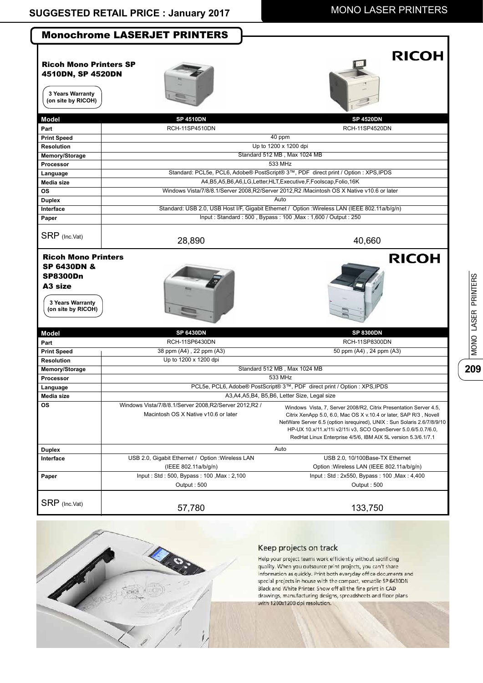|                                                                                              | <b>Monochrome LASERJET PRINTERS</b>                                                             |                                                                                                                                                                                                                                                                                                                                                     |
|----------------------------------------------------------------------------------------------|-------------------------------------------------------------------------------------------------|-----------------------------------------------------------------------------------------------------------------------------------------------------------------------------------------------------------------------------------------------------------------------------------------------------------------------------------------------------|
| <b>Ricoh Mono Printers SP</b><br>4510DN, SP 4520DN<br>3 Years Warranty<br>(on site by RICOH) |                                                                                                 | <b>RICOH</b>                                                                                                                                                                                                                                                                                                                                        |
| <b>Model</b>                                                                                 | <b>SP 4510DN</b>                                                                                | <b>SP 4520DN</b>                                                                                                                                                                                                                                                                                                                                    |
| Part                                                                                         | <b>RCH-11SP4510DN</b>                                                                           | <b>RCH-11SP4520DN</b>                                                                                                                                                                                                                                                                                                                               |
| <b>Print Speed</b>                                                                           |                                                                                                 | 40 ppm                                                                                                                                                                                                                                                                                                                                              |
| <b>Resolution</b>                                                                            |                                                                                                 | Up to 1200 x 1200 dpi                                                                                                                                                                                                                                                                                                                               |
| Memory/Storage                                                                               |                                                                                                 | Standard 512 MB, Max 1024 MB                                                                                                                                                                                                                                                                                                                        |
| Processor                                                                                    |                                                                                                 | 533 MHz                                                                                                                                                                                                                                                                                                                                             |
| Language                                                                                     |                                                                                                 | Standard: PCL5e, PCL6, Adobe® PostScript® 3™, PDF direct print / Option : XPS, IPDS                                                                                                                                                                                                                                                                 |
| Media size                                                                                   |                                                                                                 | A4, B5, A5, B6, A6, LG, Letter, HLT, Executive, F, Foolscap, Folio, 16K                                                                                                                                                                                                                                                                             |
| <b>OS</b>                                                                                    |                                                                                                 | Windows Vista/7/8/8.1/Server 2008, R2/Server 2012, R2 / Macintosh OS X Native v10.6 or later                                                                                                                                                                                                                                                        |
| <b>Duplex</b>                                                                                |                                                                                                 | Auto                                                                                                                                                                                                                                                                                                                                                |
| Interface                                                                                    |                                                                                                 | Standard: USB 2.0, USB Host I/F, Gigabit Ethernet / Option : Wireless LAN (IEEE 802.11a/b/g/n)                                                                                                                                                                                                                                                      |
| Paper                                                                                        |                                                                                                 | Input: Standard: 500, Bypass: 100, Max: 1,600 / Output: 250                                                                                                                                                                                                                                                                                         |
| SRP (Inc.Vat)                                                                                | 28,890                                                                                          | 40,660                                                                                                                                                                                                                                                                                                                                              |
| <b>SP8300Dn</b><br>A <sub>3</sub> size<br>3 Years Warranty<br>(on site by RICOH)             |                                                                                                 |                                                                                                                                                                                                                                                                                                                                                     |
| <b>Model</b>                                                                                 | <b>SP 6430DN</b>                                                                                | <b>SP 8300DN</b>                                                                                                                                                                                                                                                                                                                                    |
| Part                                                                                         | RCH-11SP6430DN                                                                                  | RCH-11SP8300DN                                                                                                                                                                                                                                                                                                                                      |
| <b>Print Speed</b>                                                                           | 38 ppm (A4), 22 ppm (A3)                                                                        | 50 ppm (A4), 24 ppm (A3)                                                                                                                                                                                                                                                                                                                            |
| <b>Resolution</b>                                                                            | Up to 1200 x 1200 dpi                                                                           |                                                                                                                                                                                                                                                                                                                                                     |
| Memory/Storage                                                                               |                                                                                                 | Standard 512 MB, Max 1024 MB                                                                                                                                                                                                                                                                                                                        |
| Processor                                                                                    |                                                                                                 | 533 MHz                                                                                                                                                                                                                                                                                                                                             |
| Language                                                                                     | PCL5e, PCL6, Adobe® PostScript® 3™, PDF direct print / Option : XPS, IPDS                       |                                                                                                                                                                                                                                                                                                                                                     |
| Media size                                                                                   | A3, A4, A5, B4, B5, B6, Letter Size, Legal size                                                 |                                                                                                                                                                                                                                                                                                                                                     |
| <b>OS</b>                                                                                    | Windows Vista/7/8/8.1/Server 2008, R2/Server 2012, R2 /<br>Macintosh OS X Native v10.6 or later | Windows Vista, 7, Server 2008/R2, Citrix Presentation Server 4.5,<br>Citrix XenApp 5.0, 6.0, Mac OS X v.10.4 or later, SAP R/3, Novell<br>NetWare Server 6.5 (option isrequired), UNIX: Sun Solaris 2.6/7/8/9/10<br>HP-UX 10.x/11.x/11i v2/11i v3, SCO OpenServer 5.0.6/5.0.7/6.0,<br>RedHat Linux Enterprise 4/5/6, IBM AIX 5L version 5.3/6.1/7.1 |
| <b>Duplex</b>                                                                                |                                                                                                 | Auto                                                                                                                                                                                                                                                                                                                                                |
| Interface                                                                                    | USB 2.0, Gigabit Ethernet / Option : Wireless LAN<br>(IEEE 802.11a/b/g/n)                       | USB 2.0, 10/100Base-TX Ethernet<br>Option : Wireless LAN (IEEE 802.11a/b/g/n)                                                                                                                                                                                                                                                                       |
|                                                                                              | Input: Std: 500, Bypass: 100, Max: 2,100                                                        | Input: Std: 2x550, Bypass: 100, Max: 4,400                                                                                                                                                                                                                                                                                                          |
| Paper                                                                                        | Output: 500                                                                                     | Output: 500                                                                                                                                                                                                                                                                                                                                         |
| SRP (Inc.Vat)                                                                                | 57,780                                                                                          | 133,750                                                                                                                                                                                                                                                                                                                                             |



#### Keep projects on track

Help your project teams work efficiently without sacrificing<br>quality. When you outsource print projects, you can't share information as quickly. Print both everyday office documents and special projects in house with the compact, versatile SP 6430DN Black and White Printer. Show off all the fire print in CAD<br>drawings, manufacturing designs, spreadsheets and floor plans<br>with 1200x1200 dpi resolution.

MONO LASER PRINTERS

**209**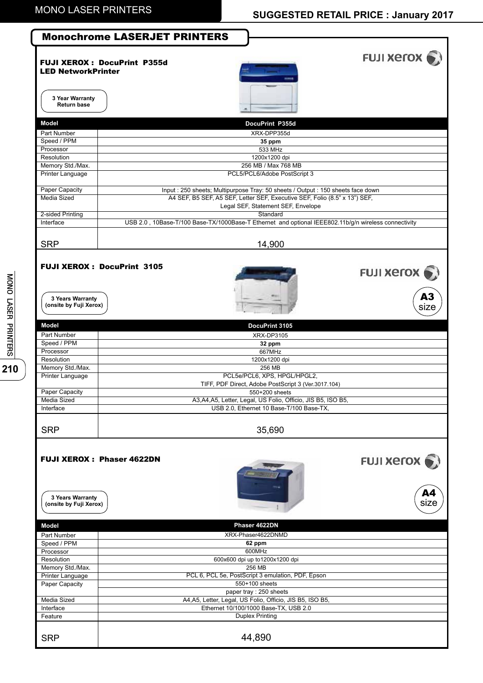|                                             | <b>Monochrome LASERJET PRINTERS</b>                                                                              |                                 |
|---------------------------------------------|------------------------------------------------------------------------------------------------------------------|---------------------------------|
| <b>LED NetworkPrinter</b>                   | <b>FUJI XEROX: DocuPrint P355d</b>                                                                               | FUJI Xerox (                    |
| 3 Year Warranty<br><b>Return base</b>       |                                                                                                                  |                                 |
| Model                                       | DocuPrint P355d                                                                                                  |                                 |
| Part Number                                 | XRX-DPP355d                                                                                                      |                                 |
| Speed / PPM<br>Processor                    | 35 ppm<br>533 MHz                                                                                                |                                 |
| Resolution                                  | 1200x1200 dpi                                                                                                    |                                 |
| Memory Std./Max.                            | 256 MB / Max 768 MB                                                                                              |                                 |
| <b>Printer Language</b>                     | PCL5/PCL6/Adobe PostScript 3                                                                                     |                                 |
| Paper Capacity                              | Input : 250 sheets; Multipurpose Tray: 50 sheets / Output : 150 sheets face down                                 |                                 |
| <b>Media Sized</b>                          | A4 SEF, B5 SEF, A5 SEF, Letter SEF, Executive SEF, Folio (8.5" x 13") SEF,<br>Legal SEF, Statement SEF, Envelope |                                 |
| 2-sided Printing                            | Standard                                                                                                         |                                 |
| Interface                                   | USB 2.0, 10Base-T/100 Base-TX/1000Base-T Ethernet and optional IEEE802.11b/g/n wireless connectivity             |                                 |
|                                             |                                                                                                                  |                                 |
| <b>SRP</b>                                  | 14,900                                                                                                           |                                 |
| 3 Years Warranty<br>(onsite by Fuji Xerox)  | <b>FUJI XEROX: DocuPrint 3105</b>                                                                                | <b>FUJI XETOX</b><br>A3<br>size |
| Model                                       | DocuPrint 3105                                                                                                   |                                 |
| Part Number<br>Speed / PPM                  | XRX-DP3105                                                                                                       |                                 |
| Processor                                   | 32 ppm<br>667MHz                                                                                                 |                                 |
| Resolution                                  | 1200x1200 dpi                                                                                                    |                                 |
| Memory Std./Max.<br><b>Printer Language</b> | 256 MB<br>PCL5e/PCL6, XPS, HPGL/HPGL2,                                                                           |                                 |
|                                             | TIFF, PDF Direct, Adobe PostScript 3 (Ver.3017.104)                                                              |                                 |
| Paper Capacity                              | 550+200 sheets                                                                                                   |                                 |
| Media Sized<br>Interface                    | A3, A4, A5, Letter, Legal, US Folio, Officio, JIS B5, ISO B5,<br>USB 2.0, Ethernet 10 Base-T/100 Base-TX,        |                                 |
|                                             |                                                                                                                  |                                 |
| <b>SRP</b>                                  | 35,690                                                                                                           |                                 |
| 3 Years Warranty<br>(onsite by Fuji Xerox)  | <b>FUJI XEROX: Phaser 4622DN</b>                                                                                 | <b>FUJI XEroX</b><br>A4<br>size |
| <b>Model</b>                                | Phaser 4622DN                                                                                                    |                                 |
| Part Number                                 | XRX-Phaser4622DNMD                                                                                               |                                 |
| Speed / PPM<br>Processor                    | 62 ppm<br>600MHz                                                                                                 |                                 |
| Resolution                                  | 600x600 dpi up to1200x1200 dpi                                                                                   |                                 |
| Memory Std./Max.                            | 256 MB                                                                                                           |                                 |
| Printer Language<br>Paper Capacity          | PCL 6, PCL 5e, PostScript 3 emulation, PDF, Epson<br>550+100 sheets                                              |                                 |
|                                             | paper tray : 250 sheets                                                                                          |                                 |
| Media Sized                                 | A4, A5, Letter, Legal, US Folio, Officio, JIS B5, ISO B5,                                                        |                                 |
| Interface<br>Feature                        | Ethernet 10/100/1000 Base-TX, USB 2.0<br><b>Duplex Printing</b>                                                  |                                 |
| <b>SRP</b>                                  | 44,890                                                                                                           |                                 |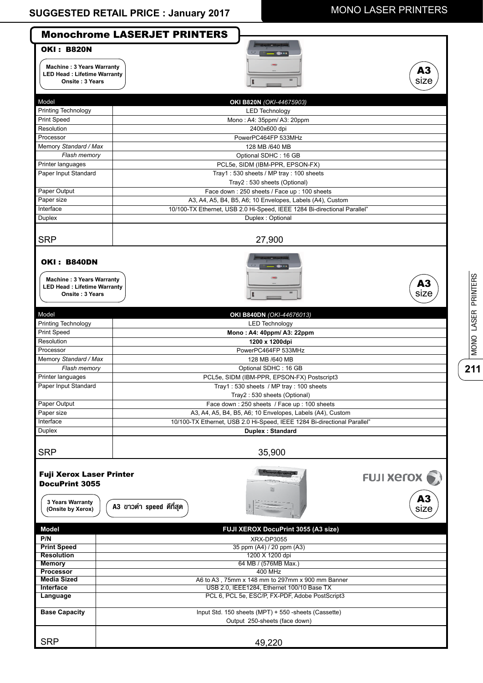$\overline{\phantom{a}}$ 

## MONO LASER PRINTERS

|                                                                                                                               | <b>Monochrome LASERJET PRINTERS</b>                                                   |  |  |
|-------------------------------------------------------------------------------------------------------------------------------|---------------------------------------------------------------------------------------|--|--|
| <b>OKI: B820N</b><br><b>Machine: 3 Years Warranty</b><br><b>LED Head: Lifetime Warranty</b><br>Onsite: 3 Years                | A3<br>size                                                                            |  |  |
| Model                                                                                                                         | OKI B820N (OKI-44675903)                                                              |  |  |
| Printing Technology                                                                                                           | <b>LED Technology</b>                                                                 |  |  |
| <b>Print Speed</b>                                                                                                            | Mono: A4: 35ppm/ A3: 20ppm                                                            |  |  |
| Resolution                                                                                                                    | 2400x600 dpi                                                                          |  |  |
| Processor                                                                                                                     | PowerPC464FP 533MHz                                                                   |  |  |
| Memory Standard / Max                                                                                                         | 128 MB /640 MB                                                                        |  |  |
| Flash memory                                                                                                                  | Optional SDHC: 16 GB                                                                  |  |  |
| Printer languages                                                                                                             | PCL5e, SIDM (IBM-PPR, EPSON-FX)                                                       |  |  |
| Paper Input Standard                                                                                                          | Tray1: 530 sheets / MP tray: 100 sheets                                               |  |  |
|                                                                                                                               | Tray2: 530 sheets (Optional)                                                          |  |  |
| Paper Output                                                                                                                  | Face down: 250 sheets / Face up: 100 sheets                                           |  |  |
| Paper size                                                                                                                    | A3, A4, A5, B4, B5, A6; 10 Envelopes, Labels (A4), Custom                             |  |  |
| Interface                                                                                                                     | 10/100-TX Ethernet, USB 2.0 Hi-Speed, IEEE 1284 Bi-directional Parallel"              |  |  |
| Duplex                                                                                                                        | Duplex: Optional                                                                      |  |  |
|                                                                                                                               |                                                                                       |  |  |
| <b>SRP</b>                                                                                                                    | 27,900                                                                                |  |  |
| <b>OKI: B840DN</b><br><b>Machine: 3 Years Warranty</b><br>A3<br><b>LED Head: Lifetime Warranty</b><br>size<br>Onsite: 3 Years |                                                                                       |  |  |
|                                                                                                                               |                                                                                       |  |  |
| Model                                                                                                                         | <b>OKI B840DN</b> (OKI-44676013)                                                      |  |  |
| Printing Technology                                                                                                           | <b>LED Technology</b>                                                                 |  |  |
| Print Speed                                                                                                                   | Mono: A4: 40ppm/ A3: 22ppm                                                            |  |  |
| Resolution                                                                                                                    | 1200 x 1200dpi                                                                        |  |  |
| Processor                                                                                                                     | PowerPC464FP 533MHz                                                                   |  |  |
| Memory Standard / Max                                                                                                         | 128 MB /640 MB                                                                        |  |  |
| Flash memory                                                                                                                  | Optional SDHC: 16 GB                                                                  |  |  |
| Printer languages                                                                                                             | PCL5e, SIDM (IBM-PPR, EPSON-FX) Postscript3                                           |  |  |
| Paper Input Standard                                                                                                          | Tray1: 530 sheets / MP tray: 100 sheets                                               |  |  |
|                                                                                                                               | Tray2: 530 sheets (Optional)                                                          |  |  |
| Paper Output                                                                                                                  | Face down: 250 sheets / Face up: 100 sheets                                           |  |  |
| Paper size                                                                                                                    | A3, A4, A5, B4, B5, A6; 10 Envelopes, Labels (A4), Custom                             |  |  |
| Interface                                                                                                                     | 10/100-TX Ethernet, USB 2.0 Hi-Speed, IEEE 1284 Bi-directional Parallel"              |  |  |
| <b>Duplex</b>                                                                                                                 | Duplex: Standard                                                                      |  |  |
| <b>SRP</b>                                                                                                                    | 35,900                                                                                |  |  |
| <b>Fuji Xerox Laser Printer</b><br><b>FUJI XEroX</b><br><b>DocuPrint 3055</b><br>A3<br>3 Years Warranty                       |                                                                                       |  |  |
| (Onsite by Xerox)                                                                                                             | A3 ขาวดำ speed ดีที่สุด<br>size                                                       |  |  |
| <b>Model</b>                                                                                                                  | FUJI XEROX DocuPrint 3055 (A3 size)                                                   |  |  |
| P/N                                                                                                                           | XRX-DP3055                                                                            |  |  |
| <b>Print Speed</b><br><b>Resolution</b>                                                                                       | 35 ppm (A4) / 20 ppm (A3)                                                             |  |  |
| <b>Memory</b>                                                                                                                 | 1200 X 1200 dpi                                                                       |  |  |
| <b>Processor</b>                                                                                                              | 64 MB / (576MB Max.)<br><b>400 MHz</b>                                                |  |  |
| <b>Media Sized</b>                                                                                                            | A6 to A3, 75mm x 148 mm to 297mm x 900 mm Banner                                      |  |  |
| <b>Interface</b>                                                                                                              | USB 2.0, IEEE1284, Ethernet 100/10 Base TX                                            |  |  |
| Language                                                                                                                      | PCL 6, PCL 5e, ESC/P, FX-PDF, Adobe PostScript3                                       |  |  |
|                                                                                                                               |                                                                                       |  |  |
| <b>Base Capacity</b>                                                                                                          | Input Std. 150 sheets (MPT) + 550 -sheets (Cassette)<br>Output 250-sheets (face down) |  |  |
| <b>SRP</b>                                                                                                                    | 49,220                                                                                |  |  |

 $\frac{1}{211}$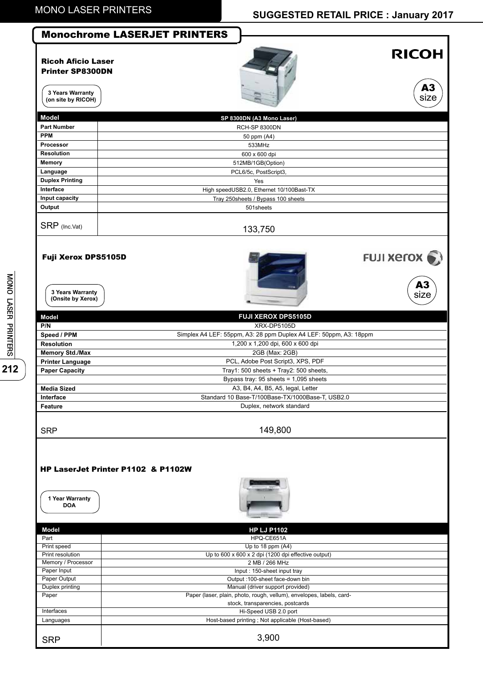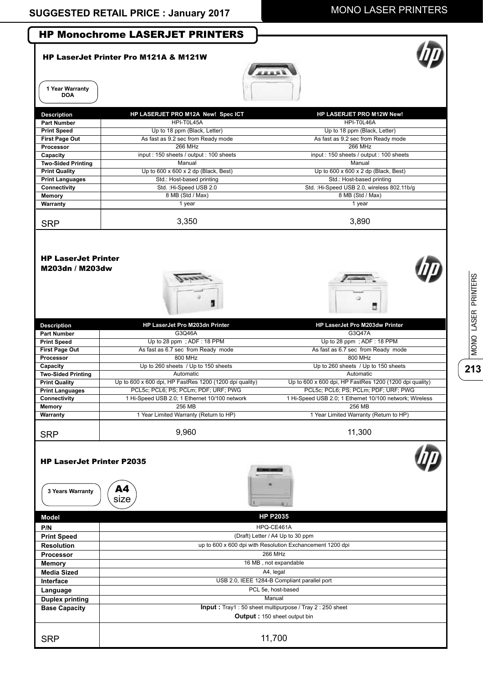ſ

## MONO LASER PRINTERS



|                                                      | <b>HP LaserJet Printer Pro M121A &amp; M121W</b>          |                                                         |  |
|------------------------------------------------------|-----------------------------------------------------------|---------------------------------------------------------|--|
| 1 Year Warranty<br><b>DOA</b>                        |                                                           |                                                         |  |
| <b>Description</b>                                   | HP LASERJET PRO M12A New! Spec ICT                        | HP LASERJET PRO M12W New!                               |  |
| <b>Part Number</b>                                   | HPI-T0L45A                                                | HPI-T0L46A                                              |  |
| <b>Print Speed</b>                                   | Up to 18 ppm (Black, Letter)                              | Up to 18 ppm (Black, Letter)                            |  |
| <b>First Page Out</b>                                | As fast as 9.2 sec from Ready mode                        | As fast as 9.2 sec from Ready mode                      |  |
| Processor                                            | 266 MHz                                                   | 266 MHz                                                 |  |
| Capacity<br><b>Two-Sided Printing</b>                | input: 150 sheets / output: 100 sheets<br>Manual          | input : 150 sheets / output : 100 sheets<br>Manual      |  |
| <b>Print Quality</b>                                 | Up to $600 \times 600 \times 2$ dp (Black, Best)          | Up to $600 \times 600 \times 2$ dp (Black, Best)        |  |
| <b>Print Languages</b>                               | Std.: Host-based printing                                 | Std.: Host-based printing                               |  |
| Connectivity                                         | Std.: Hi-Speed USB 2.0                                    | Std.: Hi-Speed USB 2.0, wireless 802.11b/g              |  |
| <b>Memory</b>                                        | 8 MB (Std / Max)                                          | 8 MB (Std / Max)                                        |  |
| Warranty                                             | 1 year                                                    | 1 year                                                  |  |
| <b>SRP</b>                                           | 3,350                                                     | 3,890                                                   |  |
| M203dn / M203dw                                      |                                                           |                                                         |  |
| <b>Description</b>                                   | HP LaserJet Pro M203dn Printer                            | HP LaserJet Pro M203dw Printer                          |  |
| <b>Part Number</b>                                   | G3Q46A                                                    | G3Q47A                                                  |  |
| <b>Print Speed</b>                                   | Up to 28 ppm; ADF: 18 PPM                                 | Up to 28 ppm; ADF: 18 PPM                               |  |
| <b>First Page Out</b>                                | As fast as 6.7 sec from Ready mode                        | As fast as 6.7 sec from Ready mode                      |  |
| Processor<br>Capacity                                | 800 MHz<br>Up to 260 sheets / Up to 150 sheets            | 800 MHz<br>Up to 260 sheets / Up to 150 sheets          |  |
| <b>Two-Sided Printing</b>                            | Automatic                                                 | Automatic                                               |  |
| <b>Print Quality</b>                                 | Up to 600 x 600 dpi, HP FastRes 1200 (1200 dpi quality)   | Up to 600 x 600 dpi, HP FastRes 1200 (1200 dpi quality) |  |
| <b>Print Languages</b>                               | PCL5c; PCL6; PS; PCLm; PDF; URF; PWG                      | PCL5c; PCL6; PS; PCLm; PDF; URF; PWG                    |  |
| <b>Connectivity</b>                                  | 1 Hi-Speed USB 2.0; 1 Ethernet 10/100 network             | 1 Hi-Speed USB 2.0; 1 Ethernet 10/100 network; Wireless |  |
| Memory                                               | <b>256 MB</b>                                             | 256 MB                                                  |  |
| Warranty                                             | 1 Year Limited Warranty (Return to HP)                    | 1 Year Limited Warranty (Return to HP)                  |  |
| <b>SRP</b>                                           | 9,960                                                     | 11,300                                                  |  |
| <b>HP LaserJet Printer P2035</b><br>3 Years Warranty | A4<br>size                                                |                                                         |  |
| Model                                                |                                                           | <b>HP P2035</b>                                         |  |
| P/N                                                  |                                                           |                                                         |  |
| <b>Print Speed</b>                                   | HPQ-CE461A<br>(Draft) Letter / A4 Up to 30 ppm            |                                                         |  |
| <b>Resolution</b>                                    | up to 600 x 600 dpi with Resolution Exchancement 1200 dpi |                                                         |  |
| Processor                                            | 266 MHz                                                   |                                                         |  |
| Memory                                               | 16 MB, not expandable                                     |                                                         |  |
| <b>Media Sized</b>                                   |                                                           |                                                         |  |
| Interface                                            | A4, legal<br>USB 2.0, IEEE 1284-B Compliant parallel port |                                                         |  |
| Language                                             |                                                           | PCL 5e, host-based                                      |  |
| <b>Duplex printing</b>                               |                                                           | Manual                                                  |  |
| <b>Base Capacity</b>                                 |                                                           | Input: Tray1: 50 sheet multipurpose / Tray 2: 250 sheet |  |
|                                                      |                                                           | Output: 150 sheet output bin                            |  |
| <b>SRP</b>                                           |                                                           | 11,700                                                  |  |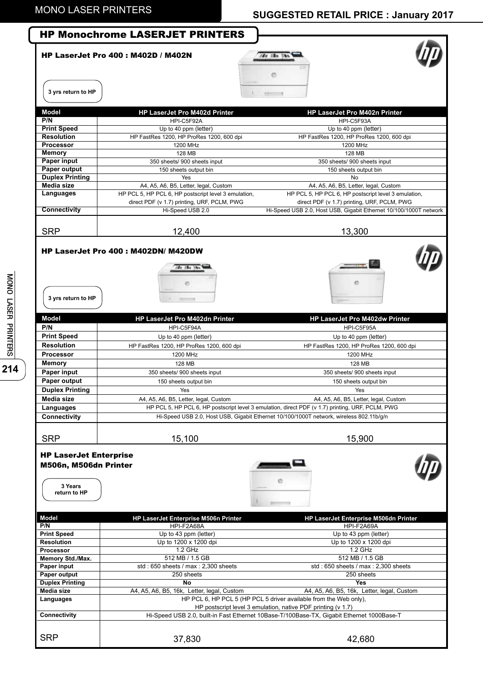|                                                                                                                                                                              | <b>HP Monochrome LASERJET PRINTERS</b>               |                                                                                                  |
|------------------------------------------------------------------------------------------------------------------------------------------------------------------------------|------------------------------------------------------|--------------------------------------------------------------------------------------------------|
|                                                                                                                                                                              | <b>HP LaserJet Pro 400: M402D / M402N</b>            | cas illa Un<br>Ø                                                                                 |
| 3 yrs return to HP                                                                                                                                                           |                                                      | <b>Fillman</b>                                                                                   |
| <b>Model</b>                                                                                                                                                                 | <b>HP LaserJet Pro M402d Printer</b>                 | <b>HP LaserJet Pro M402n Printer</b>                                                             |
| P/N                                                                                                                                                                          | HPI-C5F92A                                           | HPI-C5F93A                                                                                       |
| <b>Print Speed</b>                                                                                                                                                           | Up to 40 ppm (letter)                                | Up to 40 ppm (letter)                                                                            |
| <b>Resolution</b><br><b>Processor</b>                                                                                                                                        | HP FastRes 1200, HP ProRes 1200, 600 dpi<br>1200 MHz | HP FastRes 1200, HP ProRes 1200, 600 dpi<br>1200 MHz                                             |
| Memory                                                                                                                                                                       | 128 MB                                               | 128 MB                                                                                           |
| <b>Paper input</b>                                                                                                                                                           | 350 sheets/ 900 sheets input                         | 350 sheets/ 900 sheets input                                                                     |
| Paper output                                                                                                                                                                 | 150 sheets output bin                                | 150 sheets output bin                                                                            |
| <b>Duplex Printing</b>                                                                                                                                                       | Yes                                                  | No                                                                                               |
| Media size                                                                                                                                                                   | A4, A5, A6, B5, Letter, legal, Custom                | A4, A5, A6, B5, Letter, legal, Custom                                                            |
| Languages                                                                                                                                                                    | HP PCL 5, HP PCL 6, HP postscript level 3 emulation, | HP PCL 5, HP PCL 6, HP postscript level 3 emulation,                                             |
|                                                                                                                                                                              | direct PDF (v 1.7) printing, URF, PCLM, PWG          | direct PDF (v 1.7) printing, URF, PCLM, PWG                                                      |
| <b>Connectivity</b>                                                                                                                                                          | Hi-Speed USB 2.0                                     | Hi-Speed USB 2.0, Host USB, Gigabit Ethernet 10/100/1000T network                                |
| <b>SRP</b>                                                                                                                                                                   | 12,400                                               | 13,300                                                                                           |
| 3 yrs return to HP                                                                                                                                                           | 12000000                                             | ø                                                                                                |
| <b>Model</b>                                                                                                                                                                 | HP LaserJet Pro M402dn Printer                       | HP LaserJet Pro M402dw Printer                                                                   |
| P/N                                                                                                                                                                          | HPI-C5F94A                                           | HPI-C5F95A                                                                                       |
| <b>Print Speed</b>                                                                                                                                                           | Up to 40 ppm (letter)                                | Up to 40 ppm (letter)                                                                            |
| <b>Resolution</b>                                                                                                                                                            | HP FastRes 1200, HP ProRes 1200, 600 dpi             | HP FastRes 1200, HP ProRes 1200, 600 dpi                                                         |
| <b>Processor</b>                                                                                                                                                             | 1200 MHz                                             | 1200 MHz                                                                                         |
| <b>Memory</b>                                                                                                                                                                | 128 MB                                               | 128 MB                                                                                           |
| Paper input                                                                                                                                                                  | 350 sheets/ 900 sheets input                         | 350 sheets/ 900 sheets input                                                                     |
| Paper output                                                                                                                                                                 | 150 sheets output bin                                | 150 sheets output bin                                                                            |
| <b>Duplex Printing</b>                                                                                                                                                       | Yes                                                  | Yes                                                                                              |
| Media size                                                                                                                                                                   | A4, A5, A6, B5, Letter, legal, Custom                | A4, A5, A6, B5, Letter, legal, Custom                                                            |
| Languages                                                                                                                                                                    |                                                      | HP PCL 5, HP PCL 6, HP postscript level 3 emulation, direct PDF (v 1.7) printing, URF, PCLM, PWG |
| Connectivity                                                                                                                                                                 |                                                      | Hi-Speed USB 2.0, Host USB, Gigabit Ethernet 10/100/1000T network, wireless 802.11b/g/n          |
| <b>SRP</b>                                                                                                                                                                   | 15,100                                               | 15,900                                                                                           |
| <b>HP LaserJet Enterprise</b><br>M506n, M506dn Printer                                                                                                                       |                                                      |                                                                                                  |
| 3 Years<br>return to HP                                                                                                                                                      |                                                      |                                                                                                  |
|                                                                                                                                                                              | HP LaserJet Enterprise M506n Printer                 | HP LaserJet Enterprise M506dn Printer                                                            |
|                                                                                                                                                                              | HPI-F2A68A                                           | HPI-F2A69A                                                                                       |
|                                                                                                                                                                              | Up to 43 ppm (letter)                                | Up to 43 ppm (letter)                                                                            |
|                                                                                                                                                                              | Up to 1200 x 1200 dpi<br>1.2 GHz                     | Up to 1200 x 1200 dpi<br>1.2 GHz                                                                 |
|                                                                                                                                                                              | 512 MB / 1.5 GB                                      | 512 MB / 1.5 GB                                                                                  |
|                                                                                                                                                                              | std: 650 sheets / max: 2,300 sheets                  | std: 650 sheets / max: 2,300 sheets                                                              |
|                                                                                                                                                                              | 250 sheets                                           | 250 sheets                                                                                       |
|                                                                                                                                                                              | No                                                   | <b>Yes</b>                                                                                       |
|                                                                                                                                                                              | A4, A5, A6, B5, 16k, Letter, legal, Custom           | A4, A5, A6, B5, 16k, Letter, legal, Custom                                                       |
|                                                                                                                                                                              |                                                      | HP PCL 6, HP PCL 5 (HP PCL 5 driver available from the Web only),                                |
| Model<br>P/N<br><b>Print Speed</b><br><b>Resolution</b><br>Processor<br>Memory Std./Max.<br>Paper input<br>Paper output<br><b>Duplex Printing</b><br>Media size<br>Languages |                                                      | HP postscript level 3 emulation, native PDF printing (v 1.7)                                     |
| Connectivity                                                                                                                                                                 |                                                      | Hi-Speed USB 2.0, built-in Fast Ethernet 10Base-T/100Base-TX, Gigabit Ethernet 1000Base-T        |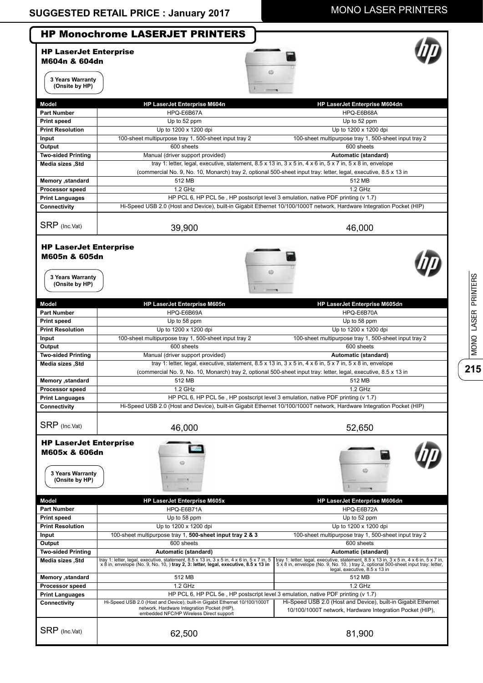**215**

MONO LASER PRINTERS

MONO LASER PRINTERS

|                                                                                      | <b>HP Monochrome LASERJET PRINTERS</b>                                                                                                                                                                   |                                                                                                                                                                                                                                                                   |
|--------------------------------------------------------------------------------------|----------------------------------------------------------------------------------------------------------------------------------------------------------------------------------------------------------|-------------------------------------------------------------------------------------------------------------------------------------------------------------------------------------------------------------------------------------------------------------------|
| <b>HP LaserJet Enterprise</b><br>M604n & 604dn                                       |                                                                                                                                                                                                          |                                                                                                                                                                                                                                                                   |
| 3 Years Warranty<br>(Onsite by HP)                                                   |                                                                                                                                                                                                          |                                                                                                                                                                                                                                                                   |
| <b>Model</b>                                                                         |                                                                                                                                                                                                          |                                                                                                                                                                                                                                                                   |
| <b>Part Number</b>                                                                   | HP LaserJet Enterprise M604n<br>HPQ-E6B67A                                                                                                                                                               | HP LaserJet Enterprise M604dn<br>HPQ-E6B68A                                                                                                                                                                                                                       |
| Print speed                                                                          | Up to 52 ppm                                                                                                                                                                                             | Up to 52 ppm                                                                                                                                                                                                                                                      |
| <b>Print Resolution</b>                                                              | Up to 1200 x 1200 dpi                                                                                                                                                                                    | Up to 1200 x 1200 dpi                                                                                                                                                                                                                                             |
| Input                                                                                | 100-sheet multipurpose tray 1, 500-sheet input tray 2                                                                                                                                                    | 100-sheet multipurpose tray 1, 500-sheet input tray 2                                                                                                                                                                                                             |
| Output                                                                               | 600 sheets                                                                                                                                                                                               | 600 sheets                                                                                                                                                                                                                                                        |
| <b>Two-sided Printing</b>                                                            | Manual (driver support provided)                                                                                                                                                                         | Automatic (standard)                                                                                                                                                                                                                                              |
| Media sizes, Std                                                                     |                                                                                                                                                                                                          | tray 1: letter, legal, executive, statement, $8.5 \times 13$ in, $3 \times 5$ in, $4 \times 6$ in, $5 \times 7$ in, $5 \times 8$ in, envelope                                                                                                                     |
|                                                                                      |                                                                                                                                                                                                          | (commercial No. 9, No. 10, Monarch) tray 2, optional 500-sheet input tray: letter, legal, executive, 8.5 x 13 in                                                                                                                                                  |
| Memory , standard                                                                    | 512 MB                                                                                                                                                                                                   | 512 MB                                                                                                                                                                                                                                                            |
| <b>Processor speed</b>                                                               | 1.2 GHz                                                                                                                                                                                                  | 1.2 GHz                                                                                                                                                                                                                                                           |
| <b>Print Languages</b>                                                               | HP PCL 6, HP PCL 5e, HP postscript level 3 emulation, native PDF printing (v 1.7)                                                                                                                        |                                                                                                                                                                                                                                                                   |
| Connectivity                                                                         | Hi-Speed USB 2.0 (Host and Device), built-in Gigabit Ethernet 10/100/1000T network, Hardware Integration Pocket (HIP)                                                                                    |                                                                                                                                                                                                                                                                   |
|                                                                                      |                                                                                                                                                                                                          |                                                                                                                                                                                                                                                                   |
| SRP (Inc.Vat)                                                                        | 39,900                                                                                                                                                                                                   | 46,000                                                                                                                                                                                                                                                            |
| M605n & 605dn<br>3 Years Warranty<br>(Onsite by HP)                                  |                                                                                                                                                                                                          |                                                                                                                                                                                                                                                                   |
| <b>Model</b>                                                                         | HP LaserJet Enterprise M605n                                                                                                                                                                             | HP LaserJet Enterprise M605dn                                                                                                                                                                                                                                     |
| <b>Part Number</b>                                                                   | HPQ-E6B69A                                                                                                                                                                                               | HPQ-E6B70A                                                                                                                                                                                                                                                        |
| <b>Print speed</b>                                                                   | Up to 58 ppm                                                                                                                                                                                             | Up to 58 ppm                                                                                                                                                                                                                                                      |
| <b>Print Resolution</b>                                                              | Up to 1200 x 1200 dpi                                                                                                                                                                                    | Up to 1200 x 1200 dpi                                                                                                                                                                                                                                             |
| Input                                                                                | 100-sheet multipurpose tray 1, 500-sheet input tray 2                                                                                                                                                    | 100-sheet multipurpose tray 1, 500-sheet input tray 2                                                                                                                                                                                                             |
| Output                                                                               | 600 sheets                                                                                                                                                                                               | 600 sheets                                                                                                                                                                                                                                                        |
| <b>Two-sided Printing</b>                                                            | Manual (driver support provided)                                                                                                                                                                         | Automatic (standard)                                                                                                                                                                                                                                              |
| Media sizes , Std                                                                    |                                                                                                                                                                                                          | tray 1: letter, legal, executive, statement, $8.5 \times 13$ in, $3 \times 5$ in, $4 \times 6$ in, $5 \times 7$ in, $5 \times 8$ in, envelope<br>(commercial No. 9, No. 10, Monarch) tray 2, optional 500-sheet input tray: letter, legal, executive, 8.5 x 13 in |
| Memory ,standard                                                                     | 512 MB                                                                                                                                                                                                   | 512 MB                                                                                                                                                                                                                                                            |
| <b>Processor speed</b>                                                               | 1.2 GHz                                                                                                                                                                                                  | 1.2 GHz                                                                                                                                                                                                                                                           |
| <b>Print Languages</b>                                                               | HP PCL 6, HP PCL 5e, HP postscript level 3 emulation, native PDF printing (v 1.7)                                                                                                                        |                                                                                                                                                                                                                                                                   |
| Connectivity                                                                         | Hi-Speed USB 2.0 (Host and Device), built-in Gigabit Ethernet 10/100/1000T network, Hardware Integration Pocket (HIP)                                                                                    |                                                                                                                                                                                                                                                                   |
| SRP (Inc.Vat)                                                                        | 46,000                                                                                                                                                                                                   | 52,650                                                                                                                                                                                                                                                            |
| <b>HP LaserJet Enterprise</b><br>M605x & 606dn<br>3 Years Warranty<br>(Onsite by HP) |                                                                                                                                                                                                          |                                                                                                                                                                                                                                                                   |
| <b>Model</b>                                                                         | <b>HP LaserJet Enterprise M605x</b>                                                                                                                                                                      | HP LaserJet Enterprise M606dn                                                                                                                                                                                                                                     |
| <b>Part Number</b>                                                                   | HPQ-E6B71A                                                                                                                                                                                               | HPQ-E6B72A                                                                                                                                                                                                                                                        |
| <b>Print speed</b>                                                                   | Up to 58 ppm                                                                                                                                                                                             | Up to 52 ppm                                                                                                                                                                                                                                                      |
| <b>Print Resolution</b>                                                              | Up to 1200 x 1200 dpi                                                                                                                                                                                    | Up to 1200 x 1200 dpi                                                                                                                                                                                                                                             |
| Input                                                                                | 100-sheet multipurpose tray 1, 500-sheet input tray 2 & 3                                                                                                                                                | 100-sheet multipurpose tray 1, 500-sheet input tray 2                                                                                                                                                                                                             |
| Output                                                                               | 600 sheets                                                                                                                                                                                               | 600 sheets                                                                                                                                                                                                                                                        |
| <b>Two-sided Printing</b><br>Media sizes, Std                                        | Automatic (standard)<br>tray 1: letter, legal, executive, statement, 8.5 x 13 in, 3 x 5 in, 4 x 6 in, 5 x 7 in, 5<br>x 8 in, envelope (No. 9, No. 10, ) tray 2, 3: letter, legal, executive, 8.5 x 13 in | Automatic (standard)<br>tray 1: letter, legal, executive, statement, 8.5 x 13 in, 3 x 5 in, 4 x 6 in, 5 x 7 in,<br>5 x 8 in, envelope (No. 9, No. 10, ) tray 2, optional 500-sheet input tray: letter,                                                            |
| Memory ,standard                                                                     | 512 MB                                                                                                                                                                                                   | legal, executive, 8.5 x 13 in<br>512 MB                                                                                                                                                                                                                           |
| <b>Processor speed</b>                                                               | 1.2 GHz                                                                                                                                                                                                  | 1.2 GHz                                                                                                                                                                                                                                                           |
| <b>Print Languages</b>                                                               | HP PCL 6, HP PCL 5e, HP postscript level 3 emulation, native PDF printing (v 1.7)                                                                                                                        |                                                                                                                                                                                                                                                                   |
| Connectivity                                                                         | Hi-Speed USB 2.0 (Host and Device), built-in Gigabit Ethernet 10/100/1000T<br>network, Hardware Integration Pocket (HIP),<br>embedded NFC/HP Wireless Direct support                                     | Hi-Speed USB 2.0 (Host and Device), built-in Gigabit Ethernet<br>10/100/1000T network, Hardware Integration Pocket (HIP),                                                                                                                                         |
| SRP (Inc.Vat)                                                                        | 62,500                                                                                                                                                                                                   | 81,900                                                                                                                                                                                                                                                            |